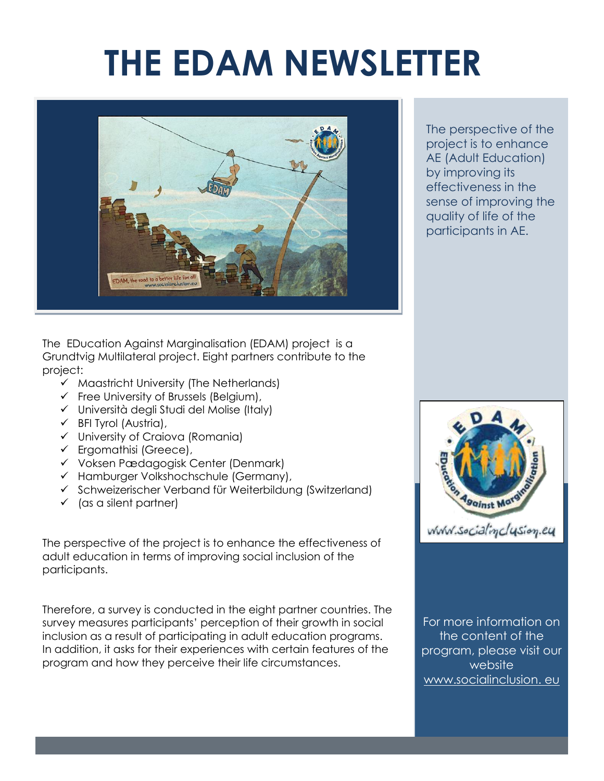## **THE EDAM NEWSLETTER**



The EDucation Against Marginalisation (EDAM) project is a Grundtvig Multilateral project. Eight partners contribute to the project:

- $\checkmark$  Maastricht University (The Netherlands)
- $\checkmark$  Free University of Brussels (Belgium),
- Università degli Studi del Molise (Italy)
- $\checkmark$  BFI Tyrol (Austria),
- University of Craiova (Romania)
- $\checkmark$  Ergomathisi (Greece),
- Voksen Pædagogisk Center (Denmark)
- $\checkmark$  Hamburger Volkshochschule (Germany),
- $\checkmark$  Schweizerischer Verband für Weiterbildung (Switzerland)
- $\checkmark$  (as a silent partner)

The perspective of the project is to enhance the effectiveness of adult education in terms of improving social inclusion of the participants.

Therefore, a survey is conducted in the eight partner countries. The survey measures participants' perception of their growth in social inclusion as a result of participating in adult education programs. In addition, it asks for their experiences with certain features of the program and how they perceive their life circumstances.

The perspective of the project is to enhance AE (Adult Education) by improving its effectiveness in the sense of improving the quality of life of the participants in AE.



For more information on the content of the program, please visit our website [www.socialinclusion.](http://www.socialinclusion/) eu